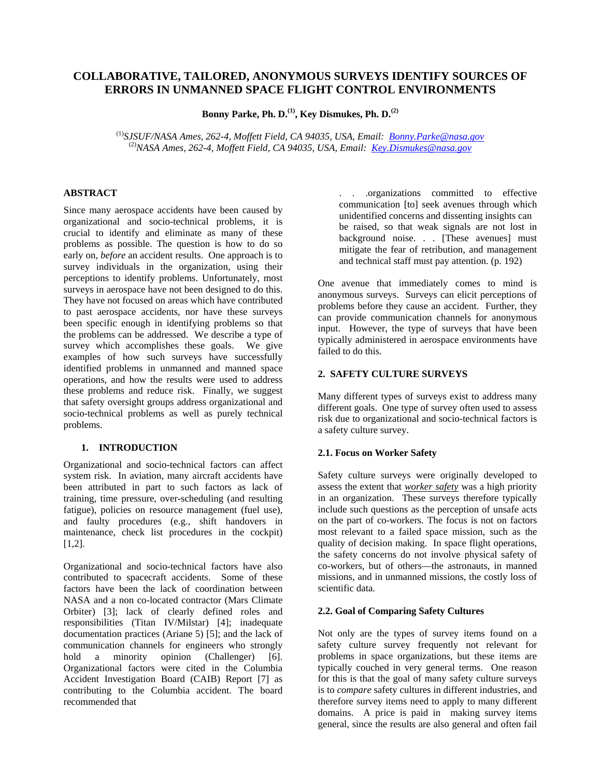# **COLLABORATIVE, TAILORED, ANONYMOUS SURVEYS IDENTIFY SOURCES OF ERRORS IN UNMANNED SPACE FLIGHT CONTROL ENVIRONMENTS**

**Bonny Parke, Ph. D.(1), Key Dismukes, Ph. D.(2)**

(1)*SJSUF/NASA Ames, 262-4, Moffett Field, CA 94035, USA, Email: Bonny.Parke@nasa.gov* (2)*NASA Ames, 262-4, Moffett Field, CA 94035, USA, Email: Key.Dismukes@nasa.gov*

### **ABSTRACT**

Since many aerospace accidents have been caused by organizational and socio-technical problems, it is crucial to identify and eliminate as many of these problems as possible. The question is how to do so early on, *before* an accident results. One approach is to survey individuals in the organization, using their perceptions to identify problems. Unfortunately, most surveys in aerospace have not been designed to do this. They have not focused on areas which have contributed to past aerospace accidents, nor have these surveys been specific enough in identifying problems so that the problems can be addressed. We describe a type of survey which accomplishes these goals. We give examples of how such surveys have successfully identified problems in unmanned and manned space operations, and how the results were used to address these problems and reduce risk. Finally, we suggest that safety oversight groups address organizational and socio-technical problems as well as purely technical problems.

#### **1. INTRODUCTION**

Organizational and socio-technical factors can affect system risk. In aviation, many aircraft accidents have been attributed in part to such factors as lack of training, time pressure, over-scheduling (and resulting fatigue), policies on resource management (fuel use), and faulty procedures (e.g., shift handovers in maintenance, check list procedures in the cockpit)  $[1,2]$ .

Organizational and socio-technical factors have also contributed to spacecraft accidents. Some of these factors have been the lack of coordination between NASA and a non co-located contractor (Mars Climate Orbiter) [3]; lack of clearly defined roles and responsibilities (Titan IV/Milstar) [4]; inadequate documentation practices (Ariane 5) [5]; and the lack of communication channels for engineers who strongly hold a minority opinion (Challenger) [6]. Organizational factors were cited in the Columbia Accident Investigation Board (CAIB) Report [7] as contributing to the Columbia accident. The board recommended that

. . .organizations committed to effective communication [to] seek avenues through which unidentified concerns and dissenting insights can be raised, so that weak signals are not lost in background noise. . . [These avenues] must mitigate the fear of retribution, and management and technical staff must pay attention. (p. 192)

One avenue that immediately comes to mind is anonymous surveys. Surveys can elicit perceptions of problems before they cause an accident. Further, they can provide communication channels for anonymous input. However, the type of surveys that have been typically administered in aerospace environments have failed to do this.

### **2. SAFETY CULTURE SURVEYS**

Many different types of surveys exist to address many different goals. One type of survey often used to assess risk due to organizational and socio-technical factors is a safety culture survey.

## **2.1. Focus on Worker Safety**

Safety culture surveys were originally developed to assess the extent that *worker safety* was a high priority in an organization. These surveys therefore typically include such questions as the perception of unsafe acts on the part of co-workers. The focus is not on factors most relevant to a failed space mission, such as the quality of decision making. In space flight operations, the safety concerns do not involve physical safety of co-workers, but of others—the astronauts, in manned missions, and in unmanned missions, the costly loss of scientific data.

### **2.2. Goal of Comparing Safety Cultures**

Not only are the types of survey items found on a safety culture survey frequently not relevant for problems in space organizations, but these items are typically couched in very general terms. One reason for this is that the goal of many safety culture surveys is to *compare* safety cultures in different industries, and therefore survey items need to apply to many different domains. A price is paid in making survey items general, since the results are also general and often fail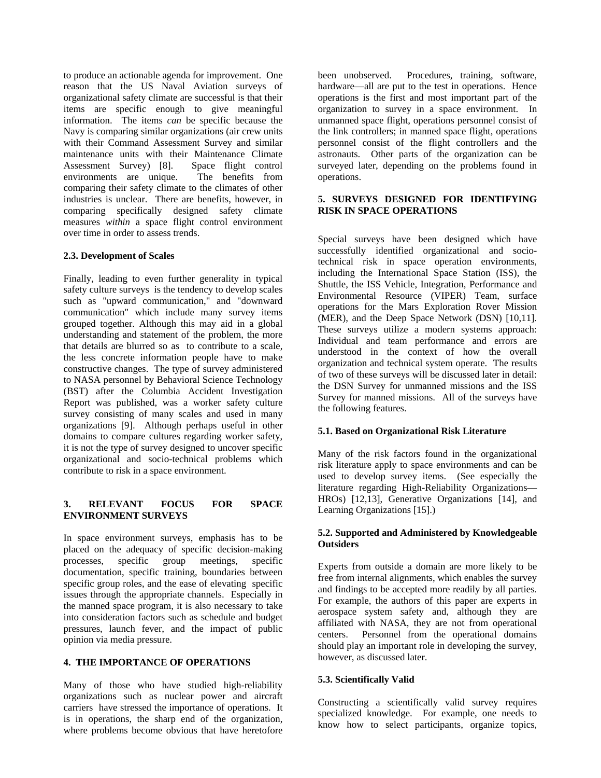to produce an actionable agenda for improvement. One reason that the US Naval Aviation surveys of organizational safety climate are successful is that their items are specific enough to give meaningful information. The items *can* be specific because the Navy is comparing similar organizations (air crew units with their Command Assessment Survey and similar maintenance units with their Maintenance Climate Assessment Survey) [8]. Space flight control environments are unique. The benefits from comparing their safety climate to the climates of other industries is unclear. There are benefits, however, in comparing specifically designed safety climate measures *within* a space flight control environment over time in order to assess trends.

### **2.3. Development of Scales**

Finally, leading to even further generality in typical safety culture surveys is the tendency to develop scales such as "upward communication," and "downward communication" which include many survey items grouped together. Although this may aid in a global understanding and statement of the problem, the more that details are blurred so as to contribute to a scale, the less concrete information people have to make constructive changes. The type of survey administered to NASA personnel by Behavioral Science Technology (BST) after the Columbia Accident Investigation Report was published, was a worker safety culture survey consisting of many scales and used in many organizations [9]. Although perhaps useful in other domains to compare cultures regarding worker safety, it is not the type of survey designed to uncover specific organizational and socio-technical problems which contribute to risk in a space environment.

### **3. RELEVANT FOCUS FOR SPACE ENVIRONMENT SURVEYS**

In space environment surveys, emphasis has to be placed on the adequacy of specific decision-making processes, specific group meetings, specific documentation, specific training, boundaries between specific group roles, and the ease of elevating specific issues through the appropriate channels. Especially in the manned space program, it is also necessary to take into consideration factors such as schedule and budget pressures, launch fever, and the impact of public opinion via media pressure.

## **4. THE IMPORTANCE OF OPERATIONS**

Many of those who have studied high-reliability organizations such as nuclear power and aircraft carriers have stressed the importance of operations. It is in operations, the sharp end of the organization, where problems become obvious that have heretofore

been unobserved. Procedures, training, software, hardware—all are put to the test in operations. Hence operations is the first and most important part of the organization to survey in a space environment. In unmanned space flight, operations personnel consist of the link controllers; in manned space flight, operations personnel consist of the flight controllers and the astronauts. Other parts of the organization can be surveyed later, depending on the problems found in operations.

### **5. SURVEYS DESIGNED FOR IDENTIFYING RISK IN SPACE OPERATIONS**

Special surveys have been designed which have successfully identified organizational and sociotechnical risk in space operation environments, including the International Space Station (ISS), the Shuttle, the ISS Vehicle, Integration, Performance and Environmental Resource (VIPER) Team, surface operations for the Mars Exploration Rover Mission (MER), and the Deep Space Network (DSN) [10,11]. These surveys utilize a modern systems approach: Individual and team performance and errors are understood in the context of how the overall organization and technical system operate. The results of two of these surveys will be discussed later in detail: the DSN Survey for unmanned missions and the ISS Survey for manned missions. All of the surveys have the following features.

### **5.1. Based on Organizational Risk Literature**

Many of the risk factors found in the organizational risk literature apply to space environments and can be used to develop survey items. (See especially the literature regarding High-Reliability Organizations— HROs) [12,13], Generative Organizations [14], and Learning Organizations [15].)

### **5.2. Supported and Administered by Knowledgeable Outsiders**

Experts from outside a domain are more likely to be free from internal alignments, which enables the survey and findings to be accepted more readily by all parties. For example, the authors of this paper are experts in aerospace system safety and, although they are affiliated with NASA, they are not from operational centers. Personnel from the operational domains should play an important role in developing the survey, however, as discussed later.

#### **5.3. Scientifically Valid**

Constructing a scientifically valid survey requires specialized knowledge. For example, one needs to know how to select participants, organize topics,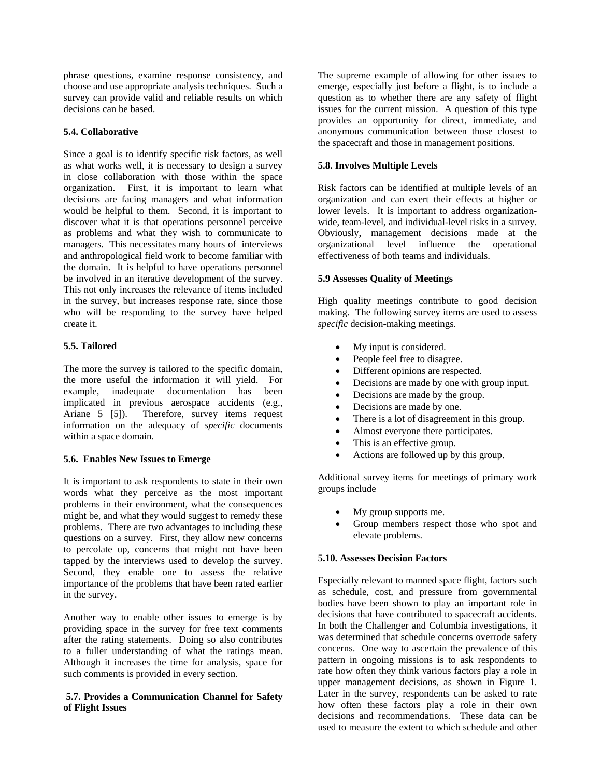phrase questions, examine response consistency, and choose and use appropriate analysis techniques. Such a survey can provide valid and reliable results on which decisions can be based.

## **5.4. Collaborative**

Since a goal is to identify specific risk factors, as well as what works well, it is necessary to design a survey in close collaboration with those within the space organization. First, it is important to learn what decisions are facing managers and what information would be helpful to them. Second, it is important to discover what it is that operations personnel perceive as problems and what they wish to communicate to managers. This necessitates many hours of interviews and anthropological field work to become familiar with the domain. It is helpful to have operations personnel be involved in an iterative development of the survey. This not only increases the relevance of items included in the survey, but increases response rate, since those who will be responding to the survey have helped create it.

### **5.5. Tailored**

The more the survey is tailored to the specific domain, the more useful the information it will yield. For example, inadequate documentation has been implicated in previous aerospace accidents (e.g., Ariane 5 [5]). Therefore, survey items request information on the adequacy of *specific* documents within a space domain.

#### **5.6. Enables New Issues to Emerge**

It is important to ask respondents to state in their own words what they perceive as the most important problems in their environment, what the consequences might be, and what they would suggest to remedy these problems. There are two advantages to including these questions on a survey. First, they allow new concerns to percolate up, concerns that might not have been tapped by the interviews used to develop the survey. Second, they enable one to assess the relative importance of the problems that have been rated earlier in the survey.

Another way to enable other issues to emerge is by providing space in the survey for free text comments after the rating statements. Doing so also contributes to a fuller understanding of what the ratings mean. Although it increases the time for analysis, space for such comments is provided in every section.

#### **5.7. Provides a Communication Channel for Safety of Flight Issues**

The supreme example of allowing for other issues to emerge, especially just before a flight, is to include a question as to whether there are any safety of flight issues for the current mission. A question of this type provides an opportunity for direct, immediate, and anonymous communication between those closest to the spacecraft and those in management positions.

#### **5.8. Involves Multiple Levels**

Risk factors can be identified at multiple levels of an organization and can exert their effects at higher or lower levels. It is important to address organizationwide, team-level, and individual-level risks in a survey. Obviously, management decisions made at the organizational level influence the operational effectiveness of both teams and individuals.

### **5.9 Assesses Quality of Meetings**

High quality meetings contribute to good decision making. The following survey items are used to assess *specific* decision-making meetings.

- My input is considered.
- People feel free to disagree.
- Different opinions are respected.
- Decisions are made by one with group input.
- Decisions are made by the group.
- Decisions are made by one.
- There is a lot of disagreement in this group.
- Almost everyone there participates.
- This is an effective group.
- Actions are followed up by this group.

Additional survey items for meetings of primary work groups include

- My group supports me.
- Group members respect those who spot and elevate problems.

#### **5.10. Assesses Decision Factors**

Especially relevant to manned space flight, factors such as schedule, cost, and pressure from governmental bodies have been shown to play an important role in decisions that have contributed to spacecraft accidents. In both the Challenger and Columbia investigations, it was determined that schedule concerns overrode safety concerns. One way to ascertain the prevalence of this pattern in ongoing missions is to ask respondents to rate how often they think various factors play a role in upper management decisions, as shown in Figure 1. Later in the survey, respondents can be asked to rate how often these factors play a role in their own decisions and recommendations. These data can be used to measure the extent to which schedule and other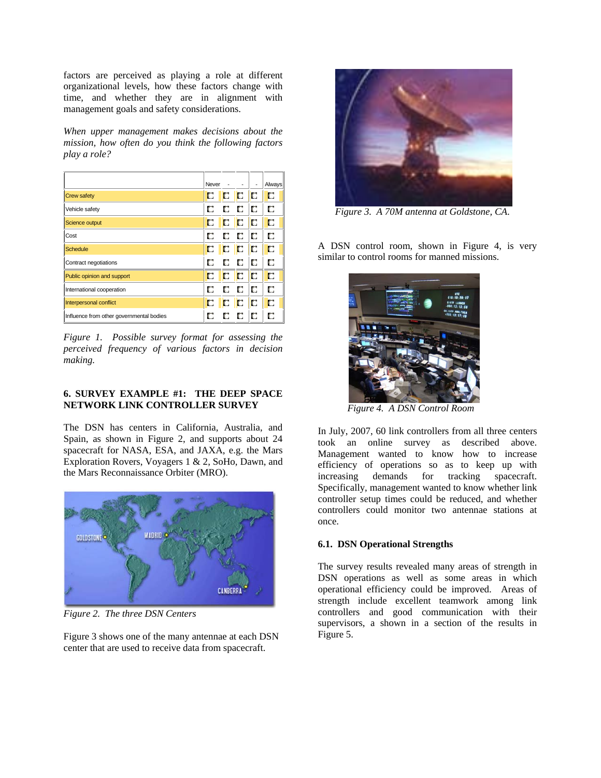factors are perceived as playing a role at different organizational levels, how these factors change with time, and whether they are in alignment with management goals and safety considerations.

*When upper management makes decisions about the mission, how often do you think the following factors play a role?* 

|                                          | Neverl | -  |    |     | Always |
|------------------------------------------|--------|----|----|-----|--------|
| <b>Crew safety</b>                       | О      | C  | IC | llo | C      |
| Vehicle safety                           | О      | D  | C  | O   | С      |
| Science output                           | C      | C  | D  | llo | C      |
| Cost                                     | О      | C  | C  | IC  | О      |
| <b>Schedule</b>                          | C      | IC | ID | ID  | D      |
| Contract negotiations                    | П      | О  | C  | IC  | О      |
| Public opinion and support               | п      | C  | C  | IC  | C      |
| International cooperation                | О      | IC | D  | IC  | D      |
| Interpersonal conflict                   | о      | D  | D  | IC  | C      |
| Influence from other governmental bodies | О      | О  | О  | D   | О      |

*Figure 1. Possible survey format for assessing the perceived frequency of various factors in decision making.* 

### **6. SURVEY EXAMPLE #1: THE DEEP SPACE NETWORK LINK CONTROLLER SURVEY**

The DSN has centers in California, Australia, and Spain, as shown in Figure 2, and supports about 24 spacecraft for NASA, ESA, and JAXA, e.g. the Mars Exploration Rovers, Voyagers 1 & 2, SoHo, Dawn, and the Mars Reconnaissance Orbiter (MRO).



*Figure 2. The three DSN Centers* 

Figure 3 shows one of the many antennae at each DSN center that are used to receive data from spacecraft.



 *Figure 3. A 70M antenna at Goldstone, CA*.

A DSN control room, shown in Figure 4, is very similar to control rooms for manned missions.



 *Figure 4. A DSN Control Room* 

In July, 2007, 60 link controllers from all three centers took an online survey as described above. Management wanted to know how to increase efficiency of operations so as to keep up with increasing demands for tracking spacecraft. Specifically, management wanted to know whether link controller setup times could be reduced, and whether controllers could monitor two antennae stations at once.

#### **6.1. DSN Operational Strengths**

The survey results revealed many areas of strength in DSN operations as well as some areas in which operational efficiency could be improved. Areas of strength include excellent teamwork among link controllers and good communication with their supervisors, a shown in a section of the results in Figure 5.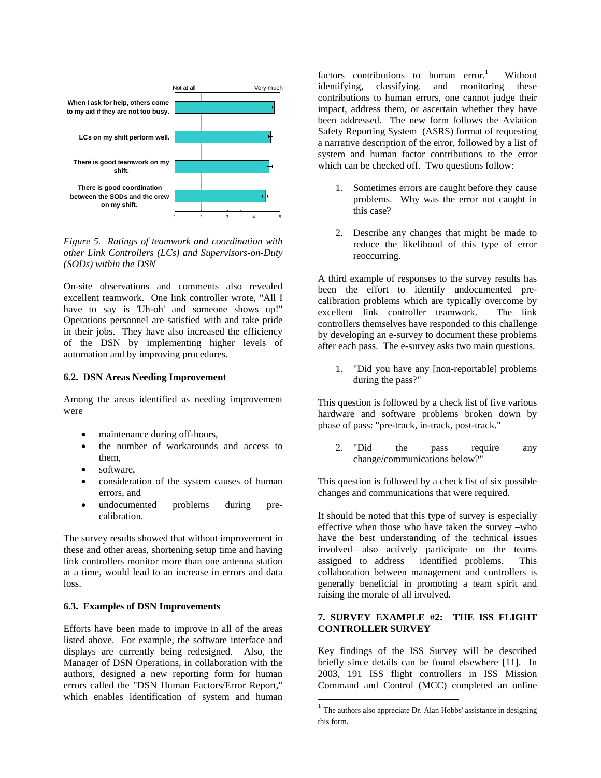

*Figure 5. Ratings of teamwork and coordination with other Link Controllers (LCs) and Supervisors-on-Duty (SODs) within the DSN* 

On-site observations and comments also revealed excellent teamwork. One link controller wrote, "All I have to say is 'Uh-oh' and someone shows up!" Operations personnel are satisfied with and take pride in their jobs. They have also increased the efficiency of the DSN by implementing higher levels of automation and by improving procedures.

#### **6.2. DSN Areas Needing Improvement**

Among the areas identified as needing improvement were

- maintenance during off-hours,
- the number of workarounds and access to them,
- software,
- consideration of the system causes of human errors, and
- undocumented problems during precalibration.

The survey results showed that without improvement in these and other areas, shortening setup time and having link controllers monitor more than one antenna station at a time, would lead to an increase in errors and data loss.

#### **6.3. Examples of DSN Improvements**

Efforts have been made to improve in all of the areas listed above. For example, the software interface and displays are currently being redesigned. Also, the Manager of DSN Operations, in collaboration with the authors, designed a new reporting form for human errors called the "DSN Human Factors/Error Report," which enables identification of system and human factors contributions to human error.<sup>1</sup> Without identifying, classifying. and monitoring these contributions to human errors, one cannot judge their impact, address them, or ascertain whether they have been addressed. The new form follows the Aviation Safety Reporting System (ASRS) format of requesting a narrative description of the error, followed by a list of system and human factor contributions to the error which can be checked off. Two questions follow:

- 1. Sometimes errors are caught before they cause problems. Why was the error not caught in this case?
- 2. Describe any changes that might be made to reduce the likelihood of this type of error reoccurring.

A third example of responses to the survey results has been the effort to identify undocumented precalibration problems which are typically overcome by excellent link controller teamwork. The link controllers themselves have responded to this challenge by developing an e-survey to document these problems after each pass. The e-survey asks two main questions.

1. "Did you have any [non-reportable] problems during the pass?"

This question is followed by a check list of five various hardware and software problems broken down by phase of pass: "pre-track, in-track, post-track."

2. "Did the pass require any change/communications below?"

This question is followed by a check list of six possible changes and communications that were required.

It should be noted that this type of survey is especially effective when those who have taken the survey –who have the best understanding of the technical issues involved—also actively participate on the teams assigned to address identified problems. This collaboration between management and controllers is generally beneficial in promoting a team spirit and raising the morale of all involved.

### **7. SURVEY EXAMPLE #2: THE ISS FLIGHT CONTROLLER SURVEY**

Key findings of the ISS Survey will be described briefly since details can be found elsewhere [11]. In 2003, 191 ISS flight controllers in ISS Mission Command and Control (MCC) completed an online

 $\overline{\phantom{a}}$ 

 $1$  The authors also appreciate Dr. Alan Hobbs' assistance in designing this form.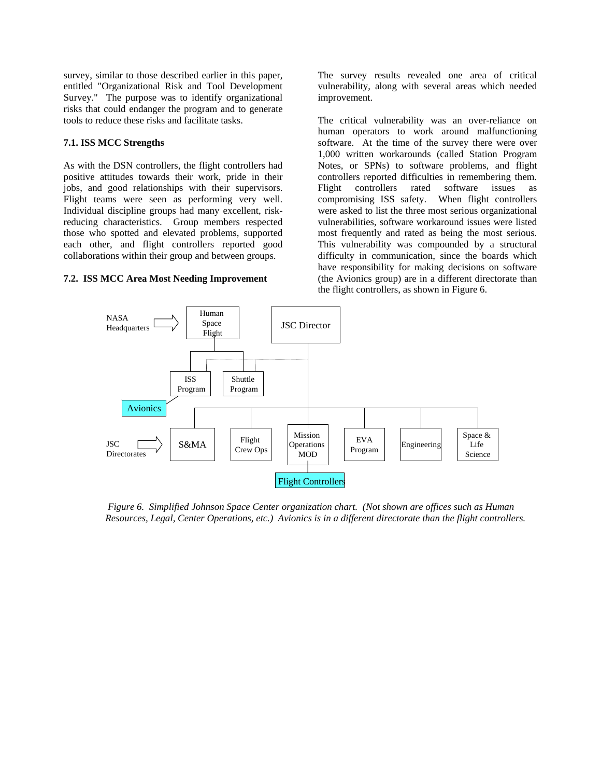survey, similar to those described earlier in this paper, entitled "Organizational Risk and Tool Development Survey." The purpose was to identify organizational risks that could endanger the program and to generate tools to reduce these risks and facilitate tasks.

### **7.1. ISS MCC Strengths**

As with the DSN controllers, the flight controllers had positive attitudes towards their work, pride in their jobs, and good relationships with their supervisors. Flight teams were seen as performing very well. Individual discipline groups had many excellent, riskreducing characteristics. Group members respected those who spotted and elevated problems, supported each other, and flight controllers reported good collaborations within their group and between groups.

## **7.2. ISS MCC Area Most Needing Improvement**

The survey results revealed one area of critical vulnerability, along with several areas which needed improvement.

The critical vulnerability was an over-reliance on human operators to work around malfunctioning software. At the time of the survey there were over 1,000 written workarounds (called Station Program Notes, or SPNs) to software problems, and flight controllers reported difficulties in remembering them. Flight controllers rated software issues as compromising ISS safety. When flight controllers were asked to list the three most serious organizational vulnerabilities, software workaround issues were listed most frequently and rated as being the most serious. This vulnerability was compounded by a structural difficulty in communication, since the boards which have responsibility for making decisions on software (the Avionics group) are in a different directorate than the flight controllers, as shown in Figure 6.



 *Figure 6. Simplified Johnson Space Center organization chart. (Not shown are offices such as Human Resources, Legal, Center Operations, etc.) Avionics is in a different directorate than the flight controllers.*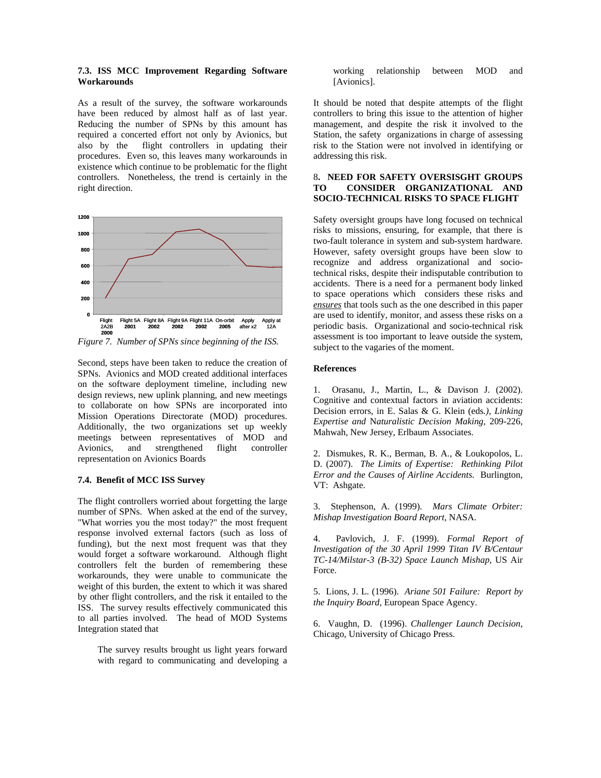#### **7.3. ISS MCC Improvement Regarding Software Workarounds**

As a result of the survey, the software workarounds have been reduced by almost half as of last year. Reducing the number of SPNs by this amount has required a concerted effort not only by Avionics, but also by the flight controllers in updating their procedures. Even so, this leaves many workarounds in existence which continue to be problematic for the flight controllers. Nonetheless, the trend is certainly in the right direction.



*Figure 7. Number of SPNs since beginning of the ISS.* 

Second, steps have been taken to reduce the creation of SPNs. Avionics and MOD created additional interfaces on the software deployment timeline, including new design reviews, new uplink planning, and new meetings to collaborate on how SPNs are incorporated into Mission Operations Directorate (MOD) procedures. Additionally, the two organizations set up weekly meetings between representatives of MOD and Avionics, and strengthened flight controller representation on Avionics Boards

#### **7.4. Benefit of MCC ISS Survey**

The flight controllers worried about forgetting the large number of SPNs. When asked at the end of the survey, "What worries you the most today?" the most frequent response involved external factors (such as loss of funding), but the next most frequent was that they would forget a software workaround. Although flight controllers felt the burden of remembering these workarounds, they were unable to communicate the weight of this burden, the extent to which it was shared by other flight controllers, and the risk it entailed to the ISS. The survey results effectively communicated this to all parties involved. The head of MOD Systems Integration stated that

The survey results brought us light years forward with regard to communicating and developing a

working relationship between MOD and [Avionics].

It should be noted that despite attempts of the flight controllers to bring this issue to the attention of higher management, and despite the risk it involved to the Station, the safety organizations in charge of assessing risk to the Station were not involved in identifying or addressing this risk.

#### 8**. NEED FOR SAFETY OVERSISGHT GROUPS TO CONSIDER ORGANIZATIONAL AND SOCIO-TECHNICAL RISKS TO SPACE FLIGHT**

Safety oversight groups have long focused on technical risks to missions, ensuring, for example, that there is two-fault tolerance in system and sub-system hardware. However, safety oversight groups have been slow to recognize and address organizational and sociotechnical risks, despite their indisputable contribution to accidents. There is a need for a permanent body linked to space operations which considers these risks and *ensures* that tools such as the one described in this paper are used to identify, monitor, and assess these risks on a periodic basis. Organizational and socio-technical risk assessment is too important to leave outside the system, subject to the vagaries of the moment.

#### **References**

1. Orasanu, J., Martin, L., & Davison J. (2002). Cognitive and contextual factors in aviation accidents: Decision errors, in E. Salas & G. Klein (eds*.), Linking Expertise and* N*aturalistic Decision Making,* 209-226*,* Mahwah, New Jersey, Erlbaum Associates.

2. Dismukes, R. K., Berman, B. A., & Loukopolos, L. D. (2007). *The Limits of Expertise: Rethinking Pilot Error and the Causes of Airline Accidents.* Burlington, VT: Ashgate.

3. Stephenson, A. (1999). *Mars Climate Orbiter: Mishap Investigation Board Report*, NASA.

4. Pavlovich, J. F. (1999). *Formal Report of Investigation of the 30 April 1999 Titan IV B/Centaur TC-14/Milstar-3 (B-32) Space Launch Mishap*, US Air Force.

5. Lions, J. L. (1996). *Ariane 501 Failure: Report by the Inquiry Board,* European Space Agency.

6. Vaughn, D. (1996). *Challenger Launch Decision*, Chicago, University of Chicago Press.